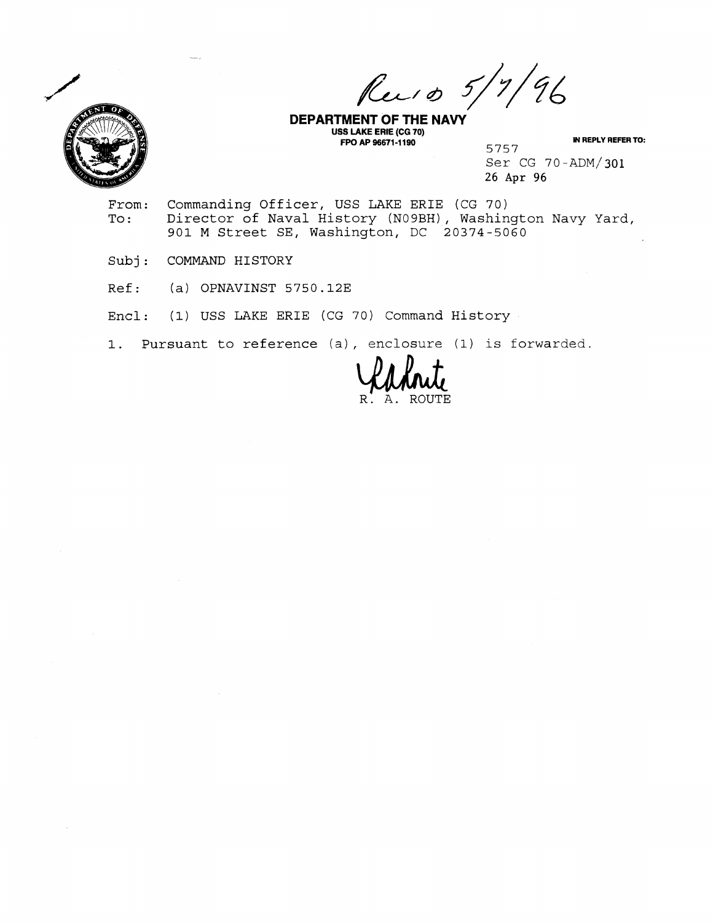$196$ Rec 10 5/  $^{\prime}$  7  $^{\prime}$ 



**DEPARTMENT OF THE NAVY USS LAKE ERIE (CG 70) FPO AP 96671-1190 IN REPLY REFER TO:** 

5757 Ser CG 70-ADM/301 26 Apr 96

- From: Commanding Officer, USS LAKE ERIE (CG 70)<br>To: Director of Naval History (N09BH), Washin Director of Naval History (NO9BH), Washington Navy Yard, 901 M Street SE, Washington, DC 20374-5060
- Subj: COMMAND HISTORY
- $Ref:$  (a) OPNAVINST 5750.12E
- Encl: (1) USS LAKE ERIE (CG 70) Command History
- 1. Pursuant to reference (a) , enclosure (1) is forwarded.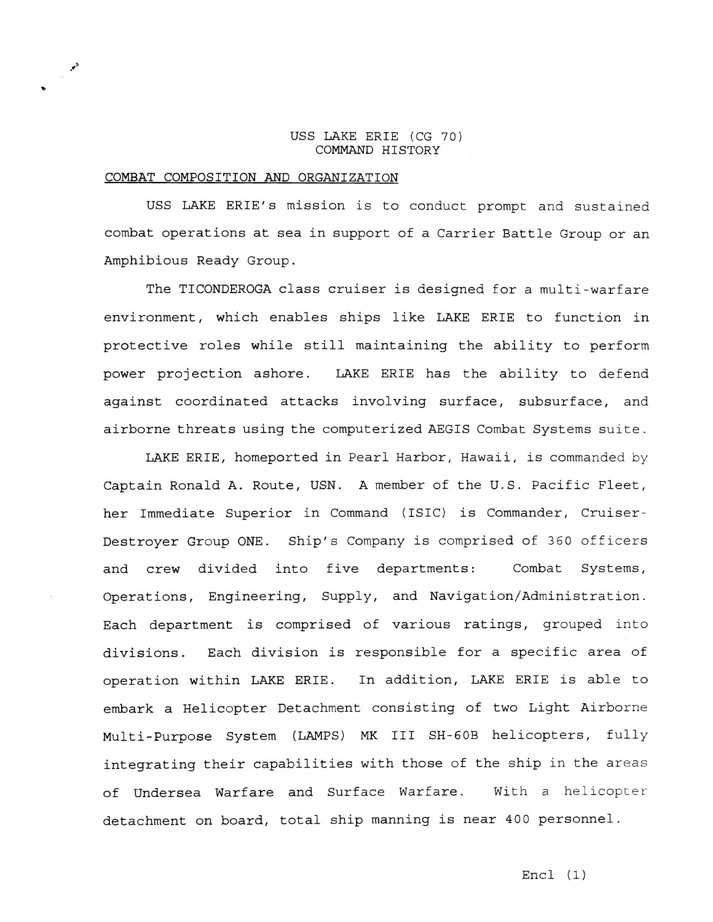## USS LAKE ERIE (CG 70) COMMAND HISTORY

## COMBAT COMPOSITION AND ORGANIZATION

USS LAKE ERIE'S mission is to conduct prompt and sustained combat operations at sea in support of a Carrier Battle Group or an Amphibious Ready Group.

The TICONDEROGA class cruiser is designed for a multi-warfare environment, which enables ships like LAKE ERIE to function in protective roles while still maintaining the ability to perform power projection ashore. LAKE ERIE has the ability to defend against coordinated attacks involving surface, subsurface, and airborne threats using the computerized AEGIS Combat Systems suite.

LAKE ERIE, homeported in Pearl Harbor, Hawaii, is commanded by Captain Ronald A. Route, USN. A member of the U.S. Pacific Fleet, her Immediate Superior in Command ( ISIC) is Commander, Cruiser-Destroyer Group ONE. Ship's Company is comprised of 360 officers and crew divided into five departments: Combat Systems, Operations, Engineering, Supply, and Navigation/Administration. Each department is comprised of various ratings, grouped into divisions. Each division is responsible for a specific area of operation within LAKE ERIE. In addition, LAKE ERIE is able to embark a Helicopter Detachment consisting of two Light Airborne Multi-Purpose System (LAMPS) MK I11 SH-GOB helicopters, fully integrating their capabilities with those of the ship in the areas of Undersea Warfare and Surface Warfare. With a helicopter detachment on board, total ship manning is near 400 personnel.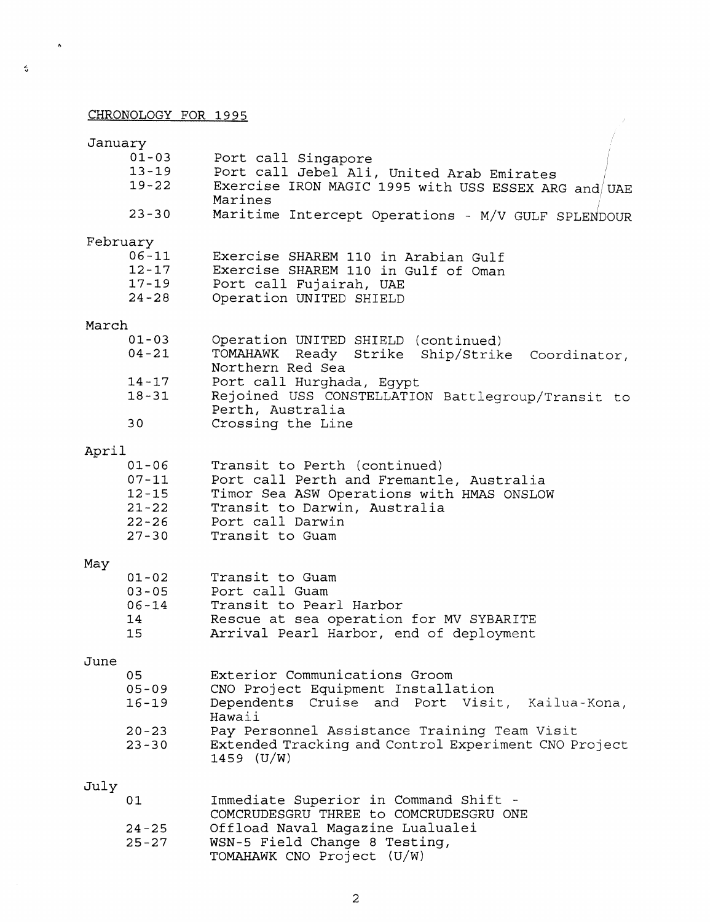## CHRONOLOGY FOR **1995**

 $\ddot{\phantom{a}}$ 

 $\ddot{\circ}$ 

| January  |           |                                                                            |
|----------|-----------|----------------------------------------------------------------------------|
|          | $01 - 03$ | Port call Singapore                                                        |
|          | $13 - 19$ | Port call Jebel Ali, United Arab Emirates                                  |
|          | $19 - 22$ | Exercise IRON MAGIC 1995 with USS ESSEX ARG and UAE                        |
|          | $23 - 30$ | Marines                                                                    |
|          |           | Maritime Intercept Operations - M/V GULF SPLENDOUR                         |
| February |           |                                                                            |
|          | $06 - 11$ | Exercise SHAREM 110 in Arabian Gulf                                        |
|          | $12 - 17$ | Exercise SHAREM 110 in Gulf of Oman                                        |
|          | $17 - 19$ | Port call Fujairah, UAE                                                    |
|          | $24 - 28$ | Operation UNITED SHIELD                                                    |
| March    |           |                                                                            |
|          | $01 - 03$ | Operation UNITED SHIELD (continued)                                        |
|          | $04 - 21$ | TOMAHAWK Ready Strike Ship/Strike Coordinator,<br>Northern Red Sea         |
|          | $14 - 17$ | Port call Hurghada, Eqypt                                                  |
|          | $18 - 31$ | Rejoined USS CONSTELLATION Battlegroup/Transit to                          |
|          |           | Perth, Australia                                                           |
|          | 30        | Crossing the Line                                                          |
| April    |           |                                                                            |
|          | $01 - 06$ | Transit to Perth (continued)                                               |
|          | $07 - 11$ | Port call Perth and Fremantle, Australia                                   |
|          | $12 - 15$ | Timor Sea ASW Operations with HMAS ONSLOW                                  |
|          | $21 - 22$ | Transit to Darwin, Australia                                               |
|          | $22 - 26$ | Port call Darwin                                                           |
|          | $27 - 30$ | Transit to Guam                                                            |
| May      |           |                                                                            |
|          | $01 - 02$ | Transit to Guam                                                            |
|          | $03 - 05$ | Port call Guam                                                             |
|          | $06 - 14$ | Transit to Pearl Harbor                                                    |
|          | 14        | Rescue at sea operation for MV SYBARITE                                    |
|          | 15        | Arrival Pearl Harbor, end of deployment                                    |
| June     |           |                                                                            |
|          | 05        | Exterior Communications Groom                                              |
|          | $05 - 09$ | CNO Project Equipment Installation                                         |
|          | $16 - 19$ | Dependents Cruise and Port Visit, Kailua-Kona,                             |
|          | $20 - 23$ | Hawaii<br>Pay Personnel Assistance Training Team Visit                     |
|          | $23 - 30$ | Extended Tracking and Control Experiment CNO Project                       |
|          |           | $1459$ (U/W)                                                               |
|          |           |                                                                            |
| July     |           |                                                                            |
|          | 01        | Immediate Superior in Command Shift -                                      |
|          | $24 - 25$ | COMCRUDESGRU THREE to COMCRUDESGRU ONE<br>Offload Naval Magazine Lualualei |
|          | $25 - 27$ | WSN-5 Field Change 8 Testing,                                              |
|          |           | TOMAHAWK CNO Project (U/W)                                                 |

 $\mathbb{R}^{\mathbb{Z}_2}$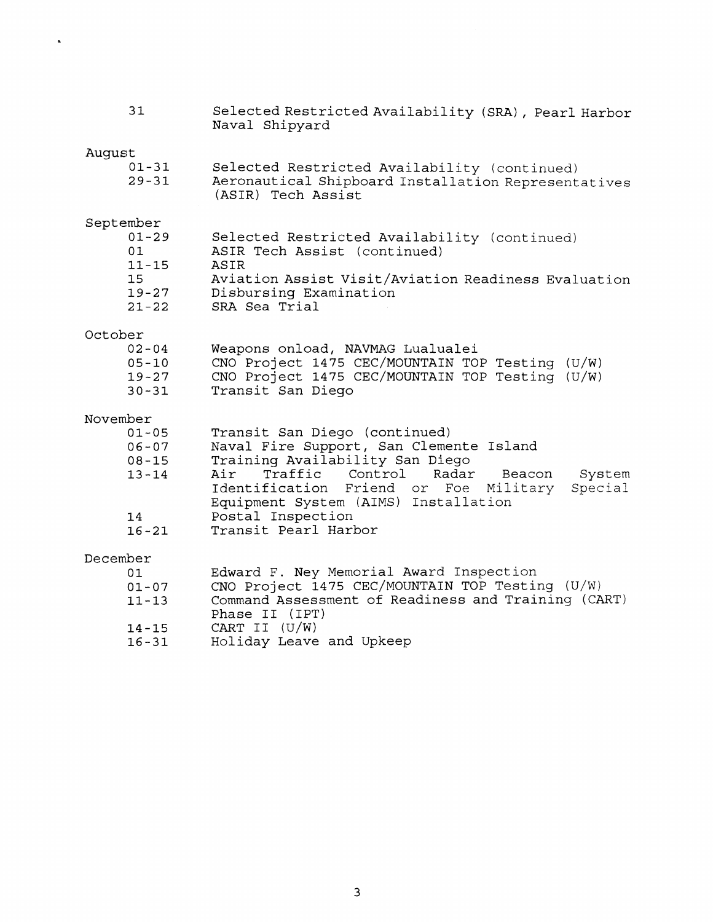| 31                                                                              | Selected Restricted Availability (SRA), Pearl Harbor<br>Naval Shipyard                                                                                                                                                                                                                                            |
|---------------------------------------------------------------------------------|-------------------------------------------------------------------------------------------------------------------------------------------------------------------------------------------------------------------------------------------------------------------------------------------------------------------|
| August<br>$01 - 31$<br>$29 - 31$                                                | Selected Restricted Availability (continued)<br>Aeronautical Shipboard Installation Representatives<br>(ASIR) Tech Assist                                                                                                                                                                                         |
| September<br>$01 - 29$<br>01<br>$11 - 15$<br>15<br>$19 - 27$<br>$21 - 22$       | Selected Restricted Availability (continued)<br>ASIR Tech Assist (continued)<br>ASIR<br>Aviation Assist Visit/Aviation Readiness Evaluation<br>Disbursing Examination<br>SRA Sea Trial                                                                                                                            |
| October<br>$02 - 04$<br>$05 - 10$<br>$19 - 27$<br>$30 - 31$                     | Weapons onload, NAVMAG Lualualei<br>CNO Project 1475 CEC/MOUNTAIN TOP Testing (U/W)<br>CNO Project 1475 CEC/MOUNTAIN TOP Testing (U/W)<br>Transit San Diego                                                                                                                                                       |
| November<br>$01 - 05$<br>$06 - 07$<br>$08 - 15$<br>$13 - 14$<br>14<br>$16 - 21$ | Transit San Diego (continued)<br>Naval Fire Support, San Clemente Island<br>Training Availability San Diego<br>Traffic Control<br>Radar<br>Air<br>System<br>Beacon<br>Special<br>Identification<br>Friend or Foe<br>Military<br>Equipment System (AIMS) Installation<br>Postal Inspection<br>Transit Pearl Harbor |
| December<br>01<br>$01 - 07$<br>$11 - 13$<br>$14 - 15$<br>$16 - 31$              | Edward F. Ney Memorial Award Inspection<br>CNO Project 1475 CEC/MOUNTAIN TOP Testing (U/W)<br>Command Assessment of Readiness and Training (CART)<br>Phase II (IPT)<br>CART II $(U/W)$<br>Holiday Leave and Upkeep                                                                                                |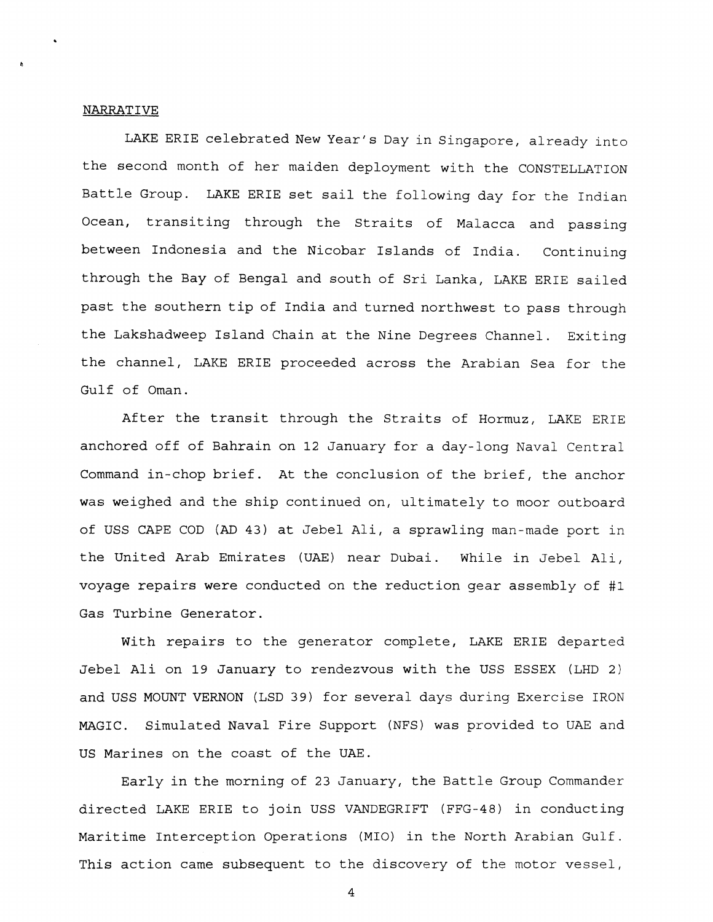## NARRATIVE

LAKE ERIE celebrated New Year's Day in Singapore, already into the second month of her maiden deployment with the CONSTELLATION Battle Group. LAKE ERIE set sail the following day for the Indian Ocean, transiting through the Straits of Malacca and passing between Indonesia and the Nicobar Islands of India. Continuing through the Bay of Bengal and south of Sri Lanka, LAKE ERIE sailed past the southern tip of India and turned northwest to pass through the Lakshadweep Island Chain at the Nine Degrees Channel. Exiting the channel, LAKE ERIE proceeded across the Arabian Sea for the Gulf of Oman.

After the transit through the Straits of Hormuz, LAKE ERIE anchored off of Bahrain on **12** January for a day-long Naval Central Command in-chop brief. At the conclusion of the brief, the anchor was weighed and the ship continued on, ultimately to moor outboard of USS CAPE COD (AD 43) at Jebel Ali, a sprawling man-made port in the United Arab Emirates (UAE) near Dubai. While in Jebel Ali, voyage repairs were conducted on the reduction gear assembly of #1 Gas Turbine Generator.

With repairs to the generator complete, LAKE ERIE departed Jebel Ali on 19 January to rendezvous with the USS ESSEX (LHD 2) and USS MOUNT VERNON (LSD 39) for several days during Exercise IRON MAGIC. Simulated Naval Fire Support (NFS) was provided to UAE and US Marines on the coast of the UAE.

Early in the morning of 23 January, the Battle Group Commander directed LAKE ERIE to join USS VANDEGRIFT (FFG-48) in conducting Maritime Interception Operations (MIO) in the North Arabian Gulf. This action came subsequent to the discovery of the motor vessel,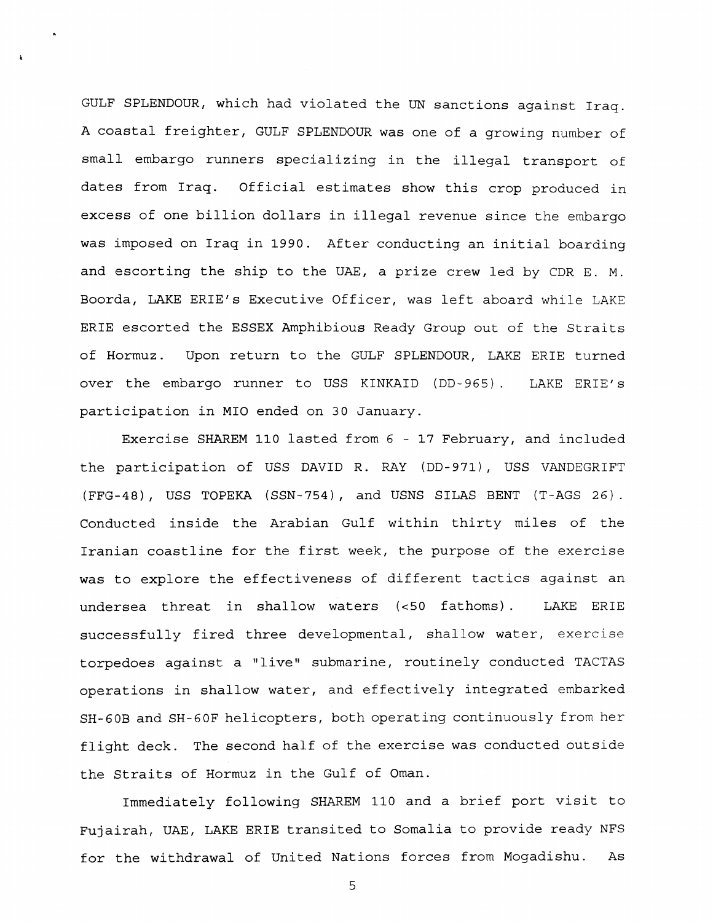GULF SPLENDOUR, which had violated the UN sanctions against Iraq. A coastal freighter, GULF SPLENDOUR was one of a growing number of small. embargo runners specializing in the illegal transport of dates from Iraq. Official estimates show this crop produced in excess of one billion dollars in illegal revenue since the embargo was imposed on Iraq in 1990. After conducting an initial boarding and escorting the ship to the UAE, a prize crew led by CDR E. M. Boorda, LAKE ERIE'S Executive Officer, was left aboard while LAKE ERIE escorted the ESSEX Amphibious Ready Group out of the Straits of Hormuz. Upon return to the GULF SPLENDOUR, LAKE ERIE turned over the embargo runner to USS KINKAID (DD-965). LAKE ERIE'S participation in MI0 ended on 30 January.

Exercise SHAREM 110 lasted from 6 - 17 February, and included the participation of USS DAVID R. RAY (DD-971), USS VANDEGRIFT (FFG-48), USS TOPEKA (SSN-754), and USNS SILAS BENT (T-AGS 26). Conducted inside the Arabian Gulf within thirty miles of the Iranian coastline for the first week, the purpose of the exercise was to explore the effectiveness of different tactics against an undersea threat in shallow waters (c50 fathoms) . LAKE ERIE successfully fired three developmental, shallow water, exercise torpedoes against a "live" submarine, routinely conducted TACTAS operations in shallow water, and effectively integrated embarked SH-GOB and SH-6OF helicopters, both operating continuously from her flight deck. The second half of the exercise was conducted outside the Straits of Hormuz in the Gulf of Oman.

Immediately following SHAREM 110 and a brief port visit to Fujairah, UAE, LAKE ERIE transited to Somalia to provide ready NFS for the withdrawal of United Nations forces from Mogadishu. As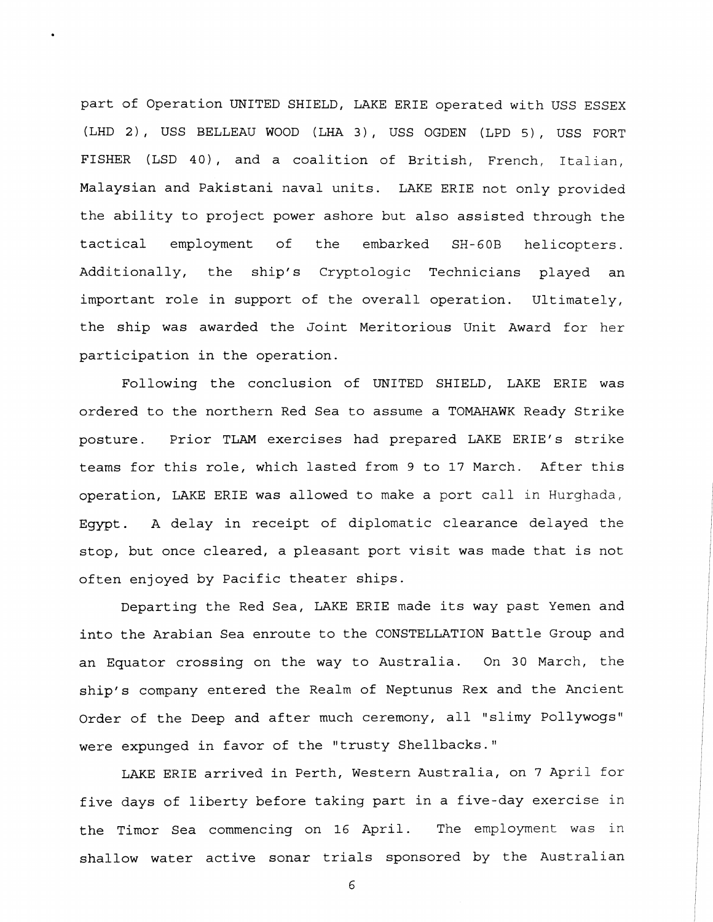part of Operation UNITED SHIELD, LAKE ERIE operated with USS ESSEX (LHD 2), USS BELLEAU WOOD (LHA 3), USS OGDEN (LPD 5), USS FORT FISHER (LSD 40), and a coalition of British, French, Italian, Malaysian and Pakistani naval units. LAKE ERIE not only provided the ability to project power ashore but also assisted through the tactical employment of the embarked SH- **GOB** helicopters. Additionally, the ship's Cryptologic Technicians played an important role in support of the overall operation. Ultimately, the ship was awarded the Joint Meritorious Unit Award for her participation in the operation.

Following the conclusion of UNITED SHIELD, LAKE ERIE was ordered to the northern Red Sea to assume a TOMAHAWK Ready Strike posture. Prior TLAM exercises had prepared LAKE ERIE'S strike teams for this role, which lasted from 9 to 17 March. After this operation, LAKE ERIE was allowed to make a port call in Hurghada, Egypt. A delay in receipt of diplomatic clearance delayed the stop, but once cleared, a pleasant port visit was made that is not often enjoyed by Pacific theater ships.

Departing the Red Sea, LAKE ERIE made its way past Yemen and into the Arabian Sea enroute to the CONSTELLATION Battle Group and an Equator crossing on the way to Australia. On 30 March, the ship's company entered the Realm of Neptunus Rex and the Ancient Order of the Deep and after much ceremony, all "slimy Pollywogs" were expunged in favor of the "trusty Shellbacks."

LAKE ERIE arrived in Perth, Western Australia, on 7 April for five days of liberty before taking part in a five-day exercise in the Timor Sea commencing on 16 April. The employment was in shallow water active sonar trials sponsored by the Australian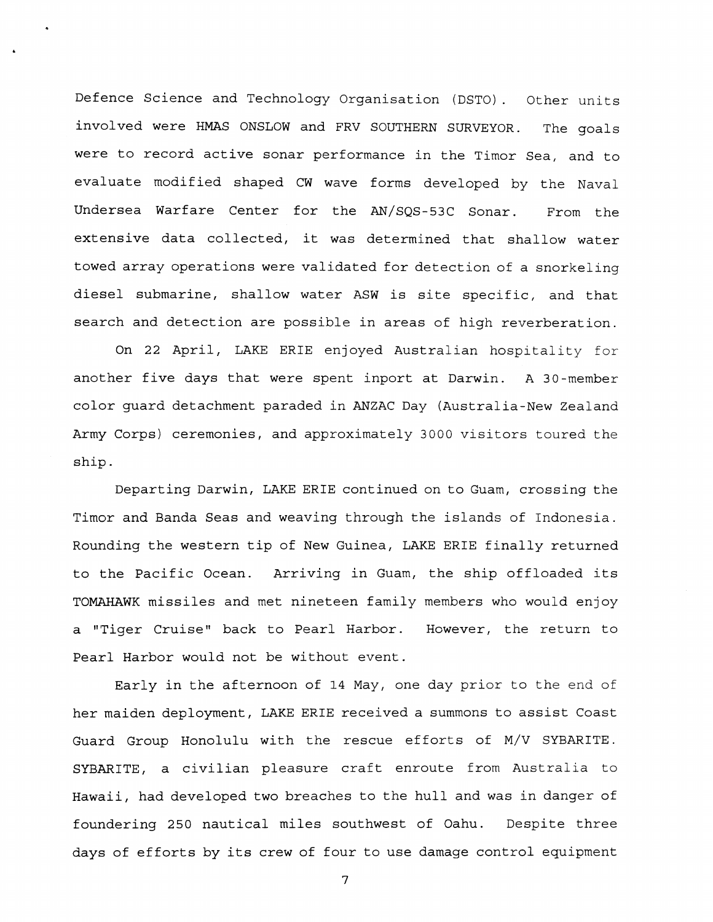Defence science and Technology Organisation (DSTO). Other units involved were HMAS ONSLOW and FRV SOUTHERN SURVEYOR. The goals were to record active sonar performance in the Timor Sea, and to evaluate modified shaped CW wave forms developed by the Naval Undersea Warfare Center for the AN/SQS-53C Sonar. From the extensive data collected, it was determined that shallow water towed array operations were validated for detection of a snorkeling diesel submarine, shallow water ASW is site specific, and that search and detection are possible in areas of high reverberation.

On 22 April, LAKE ERIE enjoyed Australian hospitality for another five days that were spent inport at Darwin. A 30-member color guard detachment paraded in ANZAC Day (Australia-New Zealand Army Corps) ceremonies, and approximately 3000 visitors toured the ship.

Departing Darwin, LAKE ERIE continued on to Guam, crossing the Timor and Banda Seas and weaving through the islands of Indonesia. Rounding the western tip of New Guinea, LAKE ERIE finally returned to the Pacific Ocean. Arriving in Guam, the ship offloaded its TOMAHAWK missiles and met nineteen family members who would enjoy a "Tiger Cruise" back to Pearl Harbor. Hcwever, the return to Pearl Harbor would not be without event.

Early in the afternoon of 14 May, one day prior to the end of her maiden deployment, LAKE ERIE received a summons to assist Coast Guard Group Honolulu with the rescue efforts of M/V SYBARITE. SYBARITE, a civilian pleasure craft enroute from Australia to Hawaii, had developed two breaches to the hull and was in danger of foundering 250 nautical miles southwest of Oahu. Despite three days of efforts by its crew of four to use damage control equipment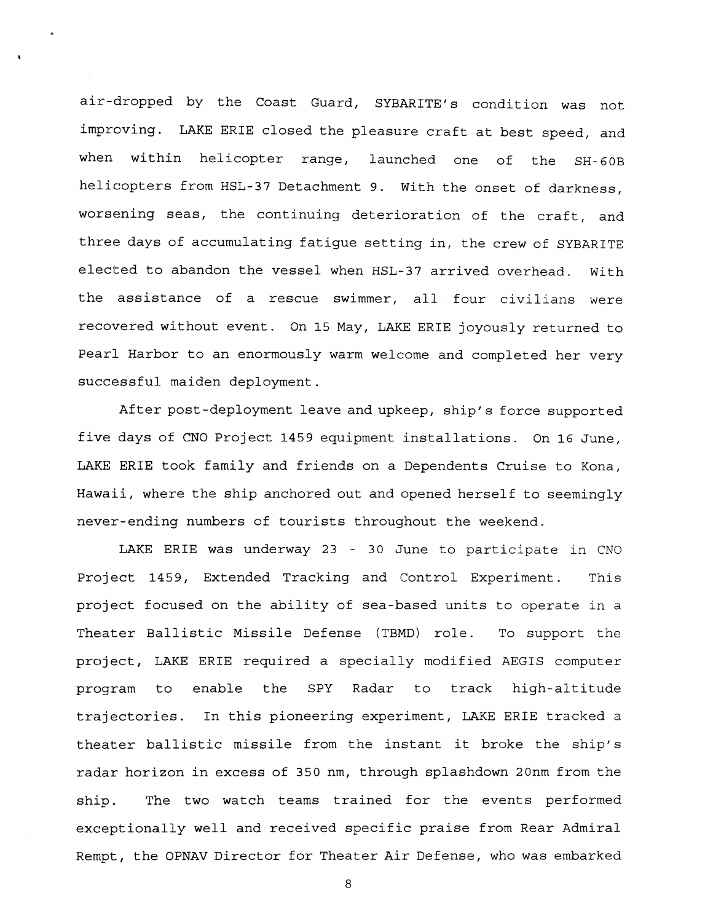air-dropped by the Coast Guard, SYBARITE'S condition was not improving. LAKE ERIE closed the pleasure craft at best speed, and when within helicopter range, launched one of the SH-GOB helicopters from HSL-37 Detachment 9. With the onset of darkness, worsening seas, the continuing deterioration of the craft, and three days of accumulating fatigue setting in, the crew of SYBARITE elected to abandon the vessel when HSL-37 arrived overhead. With the assistance of a rescue swimmer, all four civilians were recovered without event. On 15 May, LAKE ERIE joyously returned to Pearl Harbor to an enormously warm welcome and completed her very successful maiden deployment.

After post-deployment leave and upkeep, ship's force supported five days of CNO Project 1459 equipment installations. On 16 June, LAKE ERIE took family and friends on a Dependents Cruise to Kona, Hawaii, where the ship anchored out and opened herself to seemingly never-ending numbers of tourists throughout the weekend.

LAKE ERIE was underway 23 - 30 June to participate in CNO Project 1459, Extended Tracking and Control Experiment. This project focused on the ability of sea-based units to operate in a Theater Ballistic Missile Defense (TBMD) role. To support the project, LAKE ERIE required a specially modified AEGIS computer program to enable the SPY Radar to track high-altitude trajectories. In this pioneering experiment, LAKE ERIE tracked a theater ballistic missile from the instant it broke the ship's radar horizon in excess of 350 nm, through splashdown 20nm from the ship. The two watch teams trained for the events performed exceptionally well and received specific praise from Rear Admiral Rempt, the OPNAV Director for Theater Air Defense, who was embarked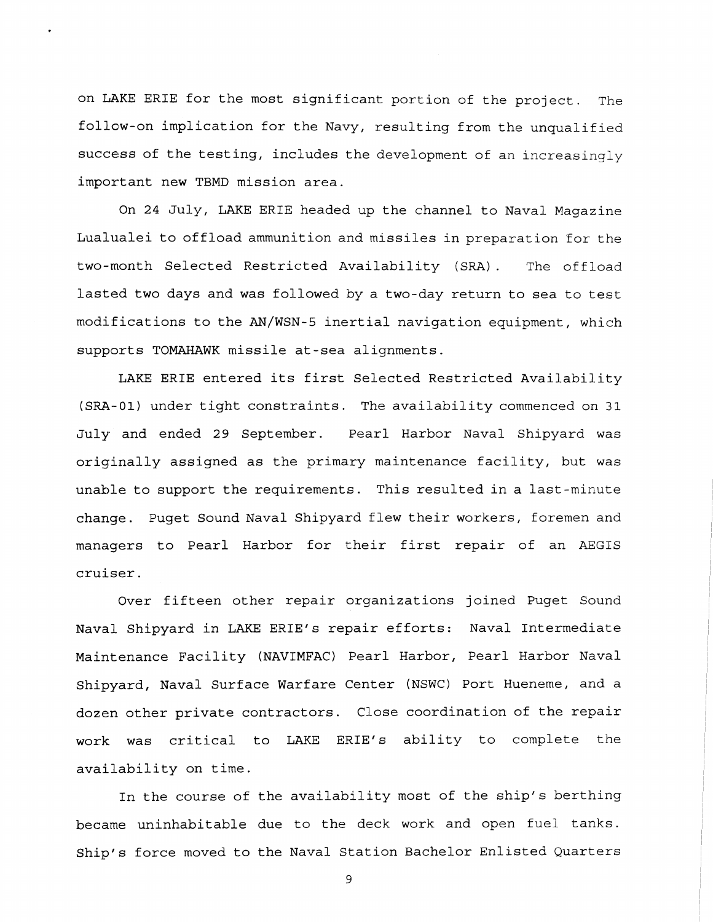on LAKE ERIE for the most significant portion of the project. The follow-on implication for the Navy, resulting from the unqualified success of the testing, includes the development of an increasingly important new TBMD mission area.

On 24 July, LAKE ERIE headed up the channel to Naval Magazine Lualualei to offload ammunition and missiles in preparation for the two-month Selected Restricted Availability (SRA) . The offload lasted two days and was followed by a two-day return to sea to test modifications to the AN/WSN-5 inertial navigation equipment, which supports TOMAHAWK missile at-sea alignments.

LAKE ERIE entered its first Selected Restricted Availability (SRA-01) under tight constraints. The availability commenced on 31 July and ended 29 September. Pearl Harbor Naval Shipyard was originally assigned as the primary maintenance facility, but was unable to support the requirements. This resulted in a last-minute change. Puget Sound Naval Shipyard flew their workers, foremen and managers to Pearl Harbor for their first repair of an AEGIS cruiser.

Over fifteen other repair organizations joined Puget Sound Naval Shipyard in LAKE ERIE's repair efforts: Naval Intermediate Maintenance Facility (NAVIMFAC) Pearl Harbor, Pearl Harbor Naval Shipyard, Naval Surface Warfare Center (NSWC) Port Hueneme, and a dozen other private contractors. Close coordination of the repair work was critical to LAKE ERIE's ability to complete the availability on time.

In the course of the availability most of the ship's berthing became uninhabitable due to the deck work and open fuel tanks. Ship's force moved to the Naval Station Bachelor Enlisted Quarters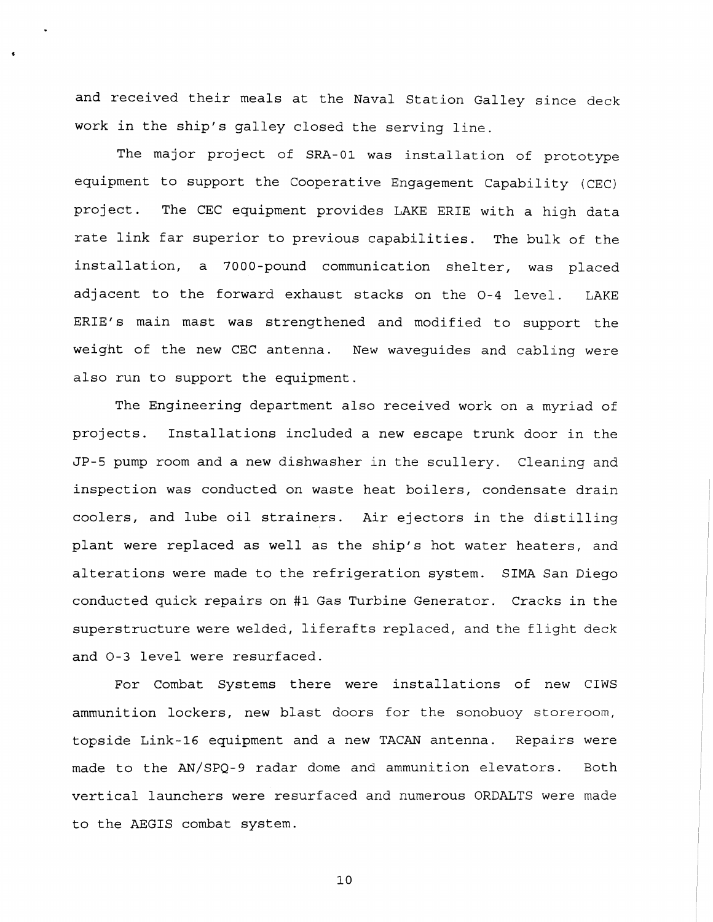and received their meals at the Naval Station Galley since deck work in the ship's galley closed the serving line.

The major project of **SRA-01** was installation of prototype equipment to support the Cooperative Engagement Capability (CEC) project. The CEC equipment provides LAKE ERIE with a high data rate link far superior to previous capabilities. The bulk of the installation, a 7000-pound communication shelter, was placed adjacent to the forward exhaust stacks on the 0-4 level. LAKE ERIE'S main mast was strengthened and modified to support the weight of the new CEC antenna. New waveguides and cabling were also run to support the equipment.

The Engineering department also received work on a myriad of projects. Installations included a new escape trunk door in the JP-5 pump room and a new dishwasher in the scullery. Cleaning and inspection was conducted on waste heat boilers, condensate drain coolers, and lube oil strainers. Air ejectors in the distilling plant were replaced as well as the ship's hot water heaters, and alterations were made to the refrigeration system. SIMA San Diego conducted quick repairs on #1 Gas Turbine Generator. Cracks in the superstructure were welded, liferafts replaced, and the flight deck and 0-3 level were resurfaced.

For Combat Systems there were installations of new CIWS ammunition lockers, new blast doors for the sonobuoy storeroom, topside Link-16 equipment and a new TACAN antenna. Repairs were made to the AN/SPQ-9 radar dome and ammunition elevators. Both vertical launchers were resurfaced and numerous ORDALTS were made to the AEGIS combat system.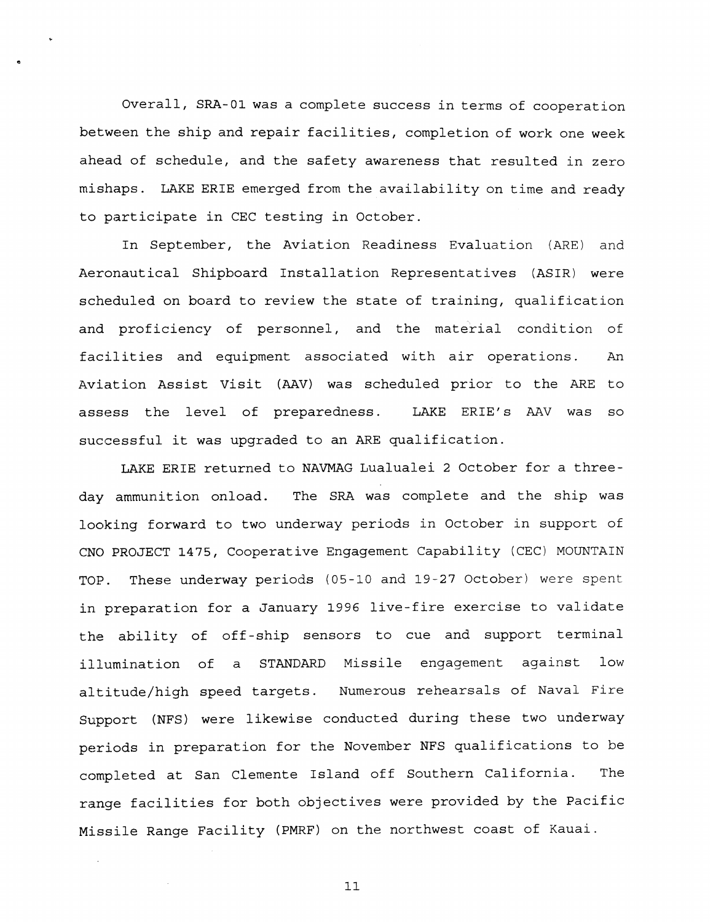overall, SRA-01 was a complete success in terms of cooperation between the ship and repair facilities, completion of work one week ahead of schedule, and the safety awareness that resulted in zero mishaps. LAKE ERIE emerged from the availability on time and ready to participate in CEC testing in October.

In September, the Aviation Readiness Evaluation (ARE) and Aeronautical Shipboard Installation Representatives (ASIR) were scheduled on board to review the state of training, qualification and proficiency of personnel, and the material condition of facilities and equipment associated with air operations. An Aviation Assist Visit **(AAV)** was scheduled prior to the ARE to assess the level of preparedness. LAKE ERIE'S AAV was so successful it was upgraded to an ARE qualification.

LAKE ERIE returned to NAVMAG Lualualei 2 October for a threeday ammunition onload. The SRA was complete and the ship was looking forward to two underway periods in October in support of CNO PROJECT 1475, Cooperative Engagement Capability (CEC) MOUNTAIN TOP. These underway periods (05-10 and 19-27 October) were spent in preparation for a January 1996 live-fire exercise to validate the ability of off-ship sensors to cue and support terminal illumination of **a** STANDARD Missile engagement against low altitude/high speed targets. Numerous rehearsals of Naval Fire Support (NFS) were likewise conducted during these two underway periods in preparation for the November NFS qualifications to be completed at San Clemente Island off Southern California. The range facilities for both objectives were provided by the pacific Missile Range Facility (PMRF) on the northwest coast of Kauai.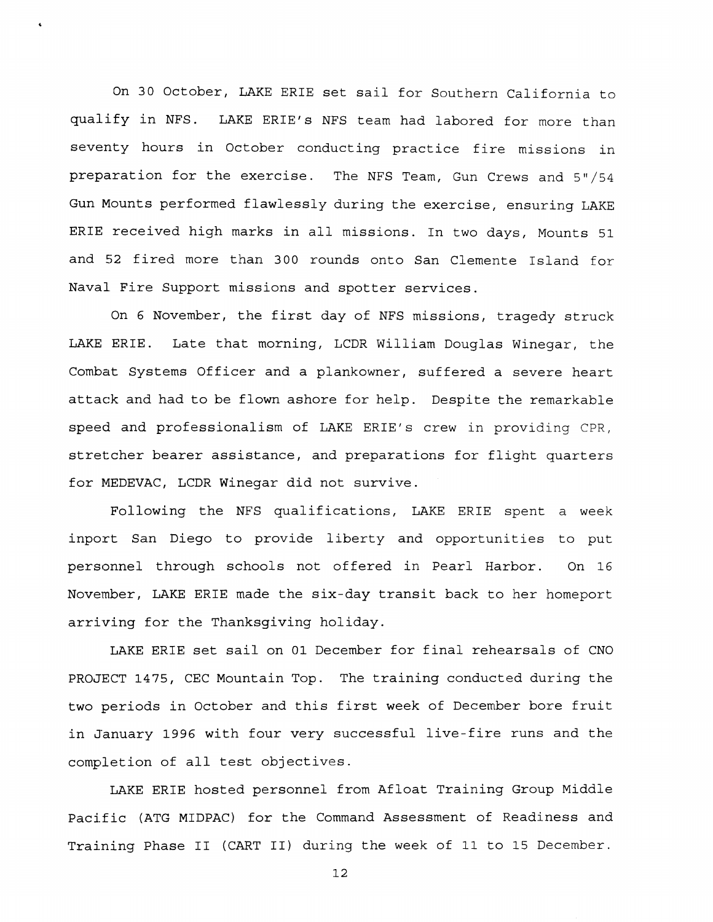On 30 October, LAKE ERIE set sail for Southern California to qualify in NFS. LAKE ERIE'S NFS team had labored for more than seventy hours in October conducting practice fire missions in preparation for the exercise. The NFS Team, Gun Crews and 5"/54 Gun Mounts performed flawlessly during the exercise, ensuring LAKE ERIE received high marks in all missions. In two days, Mounts **51**  and 52 fired more than 300 rounds onto San Clemente Island for Naval Fire Support missions and spotter services.

On 6 November, the first day of NFS missions, tragedy struck LAKE ERIE. Late that morning, LCDR William Douglas Winegar, the Combat Systems Officer and a plankowner, suffered a severe heart attack and had to be flown ashore for help. Despite the remarkable speed and professionalism of LAKE ERIE'S crew in providing CPR, stretcher bearer assistance, and preparations for flight quarters for MEDEVAC, LCDR Winegar did not survive.

Following the NFS qualifications, LAKE ERIE spent a week inport San Diego to provide liberty and opportunities to put personnel through schools not offered in Pearl Harbor. On 16 November, LAKE ERIE made the six-day transit back to her homeport arriving for the Thanksgiving holiday.

LAKE ERIE set sail on 01 December for final rehearsals of CNO PROJECT 1475, CEC Mountain Top. The training conducted during the two periods in October and this first week of December bore fruit in January 1996 with four very successful live-fire runs and the completion of all test objectives.

LAKE ERIE hosted personnel from Afloat Training Group Middle Pacific (ATG MIDPAC) for the Command Assessment of Readiness and Training Phase I1 (CART 11) during the week of 11 to 15 December.